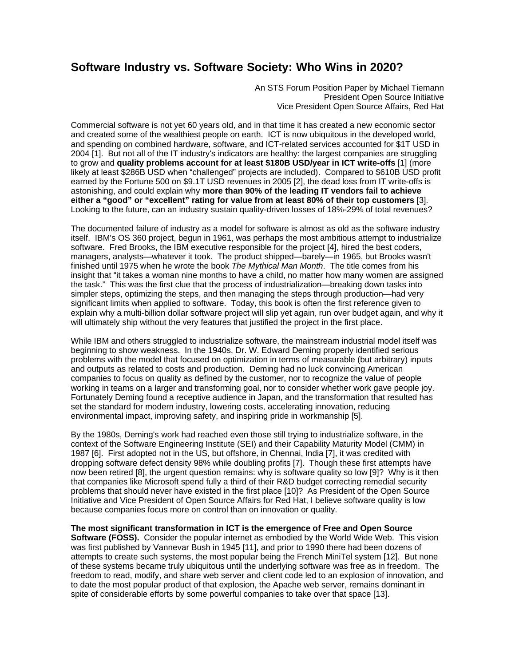## **Software Industry vs. Software Society: Who Wins in 2020?**

An STS Forum Position Paper by Michael Tiemann President Open Source Initiative Vice President Open Source Affairs, Red Hat

Commercial software is not yet 60 years old, and in that time it has created a new economic sector and created some of the wealthiest people on earth. ICT is now ubiquitous in the developed world, and spending on combined hardware, software, and ICT-related services accounted for \$1T USD in 2004 [1]. But not all of the IT industry's indicators are healthy: the largest companies are struggling to grow and **quality problems account for at least \$180B USD/year in ICT write-offs** [1] (more likely at least \$286B USD when "challenged" projects are included). Compared to \$610B USD profit earned by the Fortune 500 on \$9.1T USD revenues in 2005 [2], the dead loss from IT write-offs is astonishing, and could explain why **more than 90% of the leading IT vendors fail to achieve either a "good" or "excellent" rating for value from at least 80% of their top customers** [3]. Looking to the future, can an industry sustain quality-driven losses of 18%-29% of total revenues?

The documented failure of industry as a model for software is almost as old as the software industry itself. IBM's OS 360 project, begun in 1961, was perhaps the most ambitious attempt to industrialize software. Fred Brooks, the IBM executive responsible for the project [4], hired the best coders, managers, analysts—whatever it took. The product shipped—barely—in 1965, but Brooks wasn't finished until 1975 when he wrote the book *The Mythical Man Month*. The title comes from his insight that "it takes a woman nine months to have a child, no matter how many women are assigned the task." This was the first clue that the process of industrialization—breaking down tasks into simpler steps, optimizing the steps, and then managing the steps through production—had very significant limits when applied to software. Today, this book is often the first reference given to explain why a multi-billion dollar software project will slip yet again, run over budget again, and why it will ultimately ship without the very features that justified the project in the first place.

While IBM and others struggled to industrialize software, the mainstream industrial model itself was beginning to show weakness. In the 1940s, Dr. W. Edward Deming properly identified serious problems with the model that focused on optimization in terms of measurable (but arbitrary) inputs and outputs as related to costs and production. Deming had no luck convincing American companies to focus on quality as defined by the customer, nor to recognize the value of people working in teams on a larger and transforming goal, nor to consider whether work gave people joy. Fortunately Deming found a receptive audience in Japan, and the transformation that resulted has set the standard for modern industry, lowering costs, accelerating innovation, reducing environmental impact, improving safety, and inspiring pride in workmanship [5].

By the 1980s, Deming's work had reached even those still trying to industrialize software, in the context of the Software Engineering Institute (SEI) and their Capability Maturity Model (CMM) in 1987 [6]. First adopted not in the US, but offshore, in Chennai, India [7], it was credited with dropping software defect density 98% while doubling profits [7]. Though these first attempts have now been retired [8], the urgent question remains: why is software quality so low [9]? Why is it then that companies like Microsoft spend fully a third of their R&D budget correcting remedial security problems that should never have existed in the first place [10]? As President of the Open Source Initiative and Vice President of Open Source Affairs for Red Hat, I believe software quality is low because companies focus more on control than on innovation or quality.

**The most significant transformation in ICT is the emergence of Free and Open Source Software (FOSS).** Consider the popular internet as embodied by the World Wide Web. This vision was first published by Vannevar Bush in 1945 [11], and prior to 1990 there had been dozens of attempts to create such systems, the most popular being the French MiniTel system [12]. But none of these systems became truly ubiquitous until the underlying software was free as in freedom. The freedom to read, modify, and share web server and client code led to an explosion of innovation, and to date the most popular product of that explosion, the Apache web server, remains dominant in spite of considerable efforts by some powerful companies to take over that space [13].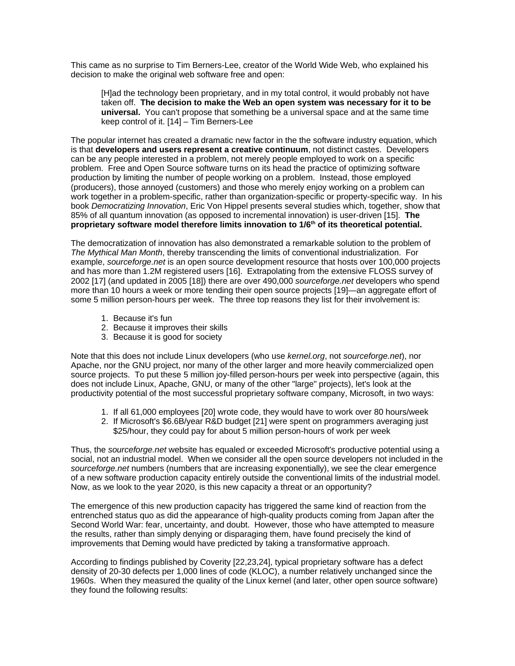This came as no surprise to Tim Berners-Lee, creator of the World Wide Web, who explained his decision to make the original web software free and open:

[H]ad the technology been proprietary, and in my total control, it would probably not have taken off. **The decision to make the Web an open system was necessary for it to be universal.** You can't propose that something be a universal space and at the same time keep control of it. [14] – Tim Berners-Lee

The popular internet has created a dramatic new factor in the the software industry equation, which is that **developers and users represent a creative continuum**, not distinct castes. Developers can be any people interested in a problem, not merely people employed to work on a specific problem. Free and Open Source software turns on its head the practice of optimizing software production by limiting the number of people working on a problem. Instead, those employed (producers), those annoyed (customers) and those who merely enjoy working on a problem can work together in a problem-specific, rather than organization-specific or property-specific way. In his book *Democratizing Innovation*, Eric Von Hippel presents several studies which, together, show that 85% of all quantum innovation (as opposed to incremental innovation) is user-driven [15]. **The proprietary software model therefore limits innovation to 1/6th of its theoretical potential.**

The democratization of innovation has also demonstrated a remarkable solution to the problem of *The Mythical Man Month*, thereby transcending the limits of conventional industrialization. For example, *sourceforge.net* is an open source development resource that hosts over 100,000 projects and has more than 1.2M registered users [16]. Extrapolating from the extensive FLOSS survey of 2002 [17] (and updated in 2005 [18]) there are over 490,000 *sourceforge.net* developers who spend more than 10 hours a week or more tending their open source projects [19]—an aggregate effort of some 5 million person-hours per week. The three top reasons they list for their involvement is:

- 1. Because it's fun
- 2. Because it improves their skills
- 3. Because it is good for society

Note that this does not include Linux developers (who use *kernel.org*, not *sourceforge.net*), nor Apache, nor the GNU project, nor many of the other larger and more heavily commercialized open source projects. To put these 5 million joy-filled person-hours per week into perspective (again, this does not include Linux, Apache, GNU, or many of the other "large" projects), let's look at the productivity potential of the most successful proprietary software company, Microsoft, in two ways:

- 1. If all 61,000 employees [20] wrote code, they would have to work over 80 hours/week
- 2. If Microsoft's \$6.6B/year R&D budget [21] were spent on programmers averaging just \$25/hour, they could pay for about 5 million person-hours of work per week

Thus, the *sourceforge.net* website has equaled or exceeded Microsoft's productive potential using a social, not an industrial model. When we consider all the open source developers not included in the *sourceforge.net* numbers (numbers that are increasing exponentially), we see the clear emergence of a new software production capacity entirely outside the conventional limits of the industrial model. Now, as we look to the year 2020, is this new capacity a threat or an opportunity?

The emergence of this new production capacity has triggered the same kind of reaction from the entrenched status quo as did the appearance of high-quality products coming from Japan after the Second World War: fear, uncertainty, and doubt. However, those who have attempted to measure the results, rather than simply denying or disparaging them, have found precisely the kind of improvements that Deming would have predicted by taking a transformative approach.

According to findings published by Coverity [22,23,24], typical proprietary software has a defect density of 20-30 defects per 1,000 lines of code (KLOC), a number relatively unchanged since the 1960s. When they measured the quality of the Linux kernel (and later, other open source software) they found the following results: